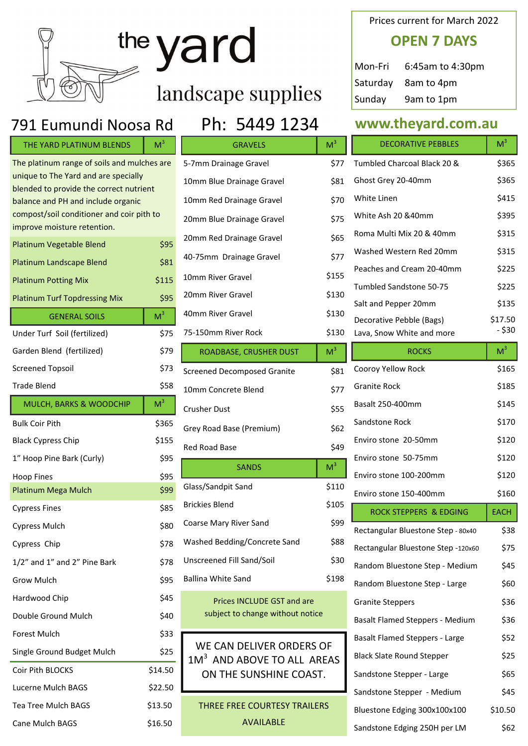| yard                                                                            |                |                                                                    |                | <b>OPEN</b>                               |            |
|---------------------------------------------------------------------------------|----------------|--------------------------------------------------------------------|----------------|-------------------------------------------|------------|
|                                                                                 |                |                                                                    |                | Mon-Fri                                   | 6:45       |
|                                                                                 |                |                                                                    |                | Saturday                                  | 8am        |
|                                                                                 |                | landscape supplies                                                 |                | Sunday                                    | 9am        |
| 791 Eumundi Noosa Rd                                                            |                | Ph: 5449 1234                                                      |                | www.they                                  |            |
| THE YARD PLATINUM BLENDS                                                        | M <sup>3</sup> | <b>GRAVELS</b>                                                     | M <sup>3</sup> | <b>DECORATIVI</b>                         |            |
| The platinum range of soils and mulches are                                     |                | 5-7mm Drainage Gravel                                              | \$77           | <b>Tumbled Charcoal E</b>                 |            |
| unique to The Yard and are specially<br>blended to provide the correct nutrient |                | 10mm Blue Drainage Gravel                                          | \$81           | Ghost Grey 20-40m                         |            |
| balance and PH and include organic                                              |                | 10mm Red Drainage Gravel                                           | \$70           | White Linen                               |            |
| compost/soil conditioner and coir pith to                                       |                | 20mm Blue Drainage Gravel                                          | \$75           | White Ash 20 &40n                         |            |
| improve moisture retention.                                                     |                | 20mm Red Drainage Gravel                                           | \$65           | Roma Multi Mix 20                         |            |
| Platinum Vegetable Blend                                                        | \$95           | 40-75mm Drainage Gravel                                            | \$77           | Washed Western R                          |            |
| <b>Platinum Landscape Blend</b>                                                 | \$81           | 10mm River Gravel                                                  | \$155          | Peaches and Cream                         |            |
| <b>Platinum Potting Mix</b><br><b>Platinum Turf Topdressing Mix</b>             | \$115<br>\$95  | 20mm River Gravel                                                  | \$130          | Tumbled Sandstone                         |            |
|                                                                                 | M <sup>3</sup> | 40mm River Gravel                                                  | \$130          | Salt and Pepper 20                        |            |
| <b>GENERAL SOILS</b>                                                            | \$75           | 75-150mm River Rock                                                | \$130          | Decorative Pebble (<br>Lava, Snow White a |            |
| Under Turf Soil (fertilized)<br>Garden Blend (fertilized)                       | \$79           | ROADBASE, CRUSHER DUST                                             | M <sup>3</sup> |                                           | <b>ROC</b> |
| <b>Screened Topsoil</b>                                                         | \$73           |                                                                    |                | Cooroy Yellow Rock                        |            |
| <b>Trade Blend</b>                                                              | \$58           | <b>Screened Decomposed Granite</b>                                 | \$81           | <b>Granite Rock</b>                       |            |
| MULCH, BARKS & WOODCHIP                                                         | M <sup>3</sup> | 10mm Concrete Blend                                                | \$77           | Basalt 250-400mm                          |            |
| <b>Bulk Coir Pith</b>                                                           | \$365          | <b>Crusher Dust</b>                                                | \$55           | Sandstone Rock                            |            |
| <b>Black Cypress Chip</b>                                                       | \$155          | Grey Road Base (Premium)                                           | \$62           | Enviro stone 20-50                        |            |
| 1" Hoop Pine Bark (Curly)                                                       | \$95           | Red Road Base                                                      | \$49           | Enviro stone 50-75                        |            |
| <b>Hoop Fines</b>                                                               | \$95           | <b>SANDS</b>                                                       | M <sup>3</sup> | Enviro stone 100-20                       |            |
| Platinum Mega Mulch                                                             | \$99           | Glass/Sandpit Sand                                                 | \$110          | Enviro stone 150-40                       |            |
| <b>Cypress Fines</b>                                                            | \$85           | <b>Brickies Blend</b>                                              | \$105          | <b>ROCK STEPPER</b>                       |            |
| <b>Cypress Mulch</b>                                                            | \$80           | Coarse Mary River Sand                                             | \$99           | Rectangular Bluesto                       |            |
| Cypress Chip                                                                    | \$78           | Washed Bedding/Concrete Sand                                       | \$88           | Rectangular Bluesto                       |            |
| 1/2" and 1" and 2" Pine Bark                                                    | \$78           | Unscreened Fill Sand/Soil                                          | \$30           | Random Bluestone                          |            |
| Grow Mulch                                                                      | \$95           | <b>Ballina White Sand</b>                                          | \$198          | Random Bluestone                          |            |
| Hardwood Chip                                                                   | \$45           | Prices INCLUDE GST and are                                         |                | <b>Granite Steppers</b>                   |            |
| Double Ground Mulch                                                             | \$40           | subject to change without notice                                   |                | <b>Basalt Flamed Step</b>                 |            |
| Forest Mulch                                                                    | \$33           |                                                                    |                | <b>Basalt Flamed Step</b>                 |            |
| Single Ground Budget Mulch                                                      | \$25           | WE CAN DELIVER ORDERS OF<br>1M <sup>3</sup> AND ABOVE TO ALL AREAS |                | <b>Black Slate Round S</b>                |            |
| Coir Pith BLOCKS                                                                | \$14.50        | ON THE SUNSHINE COAST.                                             |                | Sandstone Stepper                         |            |
| Lucerne Mulch BAGS                                                              | \$22.50        |                                                                    |                | Sandstone Stepper                         |            |
| Tea Tree Mulch BAGS                                                             | \$13.50        | THREE FREE COURTESY TRAILERS                                       |                | <b>Bluestone Edging 3</b>                 |            |
| Cane Mulch BAGS                                                                 | \$16.50        | <b>AVAILABLE</b>                                                   |                | Sandstone Edging 2                        |            |

### Prices current for March 2022

# **OPEN 7 DAYS**

| Mon-Fri | 6:45am to 4:30pm    |
|---------|---------------------|
|         | Saturday 8am to 4pm |
| Sunday  | 9am to 1pm          |

### ard.com.au

٦

|   | <b>DECORATIVE PEBBLES</b>   | M <sup>3</sup> |
|---|-----------------------------|----------------|
| 7 | Tumbled Charcoal Black 20 & | \$365          |
| 1 | Ghost Grey 20-40mm          | \$365          |
| 0 | White Linen                 | \$415          |
| 5 | White Ash 20 & 40mm         | \$395          |
| 5 | Roma Multi Mix 20 & 40mm    | \$315          |
| 7 | Washed Western Red 20mm     | \$315          |
| 5 | Peaches and Cream 20-40mm   | \$225          |
| 0 | Tumbled Sandstone 50-75     | \$225          |
|   | Salt and Pepper 20mm        | \$135          |
| 0 | Decorative Pebble (Bags)    | \$17.50        |
| 0 | Lava, Snow White and more   | - \$30         |

| <b>ROCKS</b>                           | M <sup>3</sup> |
|----------------------------------------|----------------|
| Cooroy Yellow Rock                     | \$165          |
| <b>Granite Rock</b>                    | \$185          |
| Basalt 250-400mm                       | \$145          |
| Sandstone Rock                         | \$170          |
| Enviro stone 20-50mm                   | \$120          |
| Enviro stone 50-75mm                   | \$120          |
| Enviro stone 100-200mm                 | \$120          |
| Enviro stone 150-400mm                 | \$160          |
| <b>ROCK STEPPERS &amp; EDGING</b>      | <b>EACH</b>    |
| Rectangular Bluestone Step - 80x40     | \$38           |
| Rectangular Bluestone Step -120x60     | \$75           |
| Random Bluestone Step - Medium         | \$45           |
| Random Bluestone Step - Large          | \$60           |
| <b>Granite Steppers</b>                | \$36           |
| <b>Basalt Flamed Steppers - Medium</b> | \$36           |
| Basalt Flamed Steppers - Large         | \$52           |
| <b>Black Slate Round Stepper</b>       | \$25           |
| Sandstone Stepper - Large              | \$65           |
| Sandstone Stepper - Medium             | \$45           |
| Bluestone Edging 300x100x100           | \$10.50        |
| Sandstone Edging 250H per LM           | \$62           |